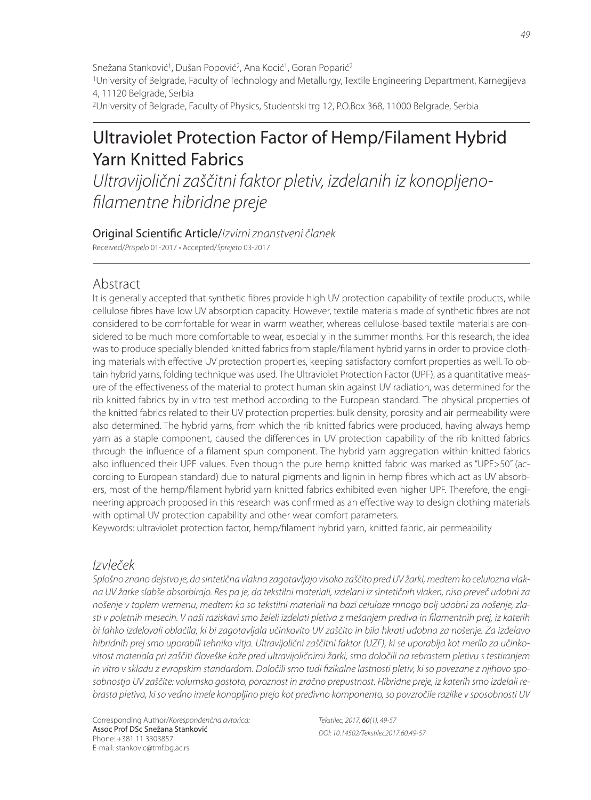Snežana Stanković<sup>1</sup>, Dušan Popović<sup>2</sup>, Ana Kocić<sup>1</sup>, Goran Poparić<sup>2</sup>

1University of Belgrade, Faculty of Technology and Metallurgy, Textile Engineering Department, Karnegijeva 4, 11120 Belgrade, Serbia

2University of Belgrade, Faculty of Physics, Studentski trg 12, P.O.Box 368, 11000 Belgrade, Serbia

# Ultraviolet Protection Factor of Hemp/Filament Hybrid Yarn Knitted Fabrics

Ultravijolični zaščitni faktor pletiv, izdelanih iz konopljenofilamentne hibridne preje

Original Scientific Article/Izvirni znanstveni članek Received/Prispelo 01-2017 • Accepted/Sprejeto 03-2017

### Abstract

It is generally accepted that synthetic fibres provide high UV protection capability of textile products, while cellulose fibres have low UV absorption capacity. However, textile materials made of synthetic fibres are not considered to be comfortable for wear in warm weather, whereas cellulose-based textile materials are considered to be much more comfortable to wear, especially in the summer months. For this research, the idea was to produce specially blended knitted fabrics from staple/filament hybrid yarns in order to provide clothing materials with effective UV protection properties, keeping satisfactory comfort properties as well. To obtain hybrid yarns, folding technique was used. The Ultraviolet Protection Factor (UPF), as a quantitative measure of the effectiveness of the material to protect human skin against UV radiation, was determined for the rib knitted fabrics by in vitro test method according to the European standard. The physical properties of the knitted fabrics related to their UV protection properties: bulk density, porosity and air permeability were also determined. The hybrid yarns, from which the rib knitted fabrics were produced, having always hemp yarn as a staple component, caused the differences in UV protection capability of the rib knitted fabrics through the influence of a filament spun component. The hybrid yarn aggregation within knitted fabrics also influenced their UPF values. Even though the pure hemp knitted fabric was marked as "UPF>50" (according to European standard) due to natural pigments and lignin in hemp fibres which act as UV absorbers, most of the hemp/filament hybrid yarn knitted fabrics exhibited even higher UPF. Therefore, the engineering approach proposed in this research was confirmed as an effective way to design clothing materials with optimal UV protection capability and other wear comfort parameters.

Keywords: ultraviolet protection factor, hemp/filament hybrid yarn, knitted fabric, air permeability

### Izvleček

Splošno znano dejstvo je, da sintetična vlakna zagotavljajo visoko zaščito pred UV žarki, medtem ko celulozna vlakna UV žarke slabše absorbirajo. Res pa je, da tekstilni materiali, izdelani iz sintetičnih vlaken, niso preveč udobni za nošenje v toplem vremenu, medtem ko so tekstilni materiali na bazi celuloze mnogo bolj udobni za nošenje, zlasti v poletnih mesecih. V naši raziskavi smo želeli izdelati pletiva z mešanjem prediva in filamentnih prej, iz katerih bi lahko izdelovali oblačila, ki bi zagotavljala učinkovito UV zaščito in bila hkrati udobna za nošenje. Za izdelavo hibridnih prej smo uporabili tehniko vitja. Ultravijolični zaščitni faktor (UZF), ki se uporablja kot merilo za učinkovitost materiala pri zaščiti človeške kože pred ultravijoličnimi žarki, smo določili na rebrastem pletivu s testiranjem in vitro v skladu z evropskim standardom. Določili smo tudi fizikalne lastnosti pletiv, ki so povezane z njihovo sposobnostjo UV zaščite: volumsko gostoto, poroznost in zračno prepustnost. Hibridne preje, iz katerih smo izdelali rebrasta pletiva, ki so vedno imele konopljino prejo kot predivno komponento, so povzročile razlike v sposobnosti UV

Corresponding Author/Korespondenčna avtorica: Assoc Prof DSc Snežana Stanković Phone: +381 11 3303857 E-mail: stankovic@tmf.bg.ac.rs

Tekstilec, 2017, 60(1), 49-57 DOI: 10.14502/Tekstilec2017.60.49-57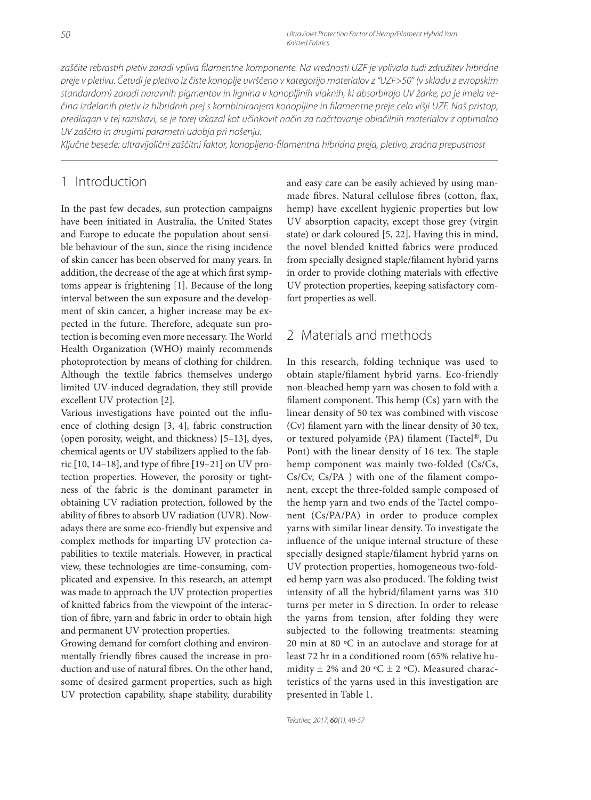zaščite rebrastih pletiv zaradi vpliva filamentne komponente. Na vrednosti UZF je vplivala tudi združitev hibridne preje v pletivu. Četudi je pletivo iz čiste konoplje uvrščeno v kategorijo materialov z "UZF>50" (v skladu z evropskim standardom) zaradi naravnih pigmentov in lignina v konopljinih vlaknih, ki absorbirajo UV žarke, pa je imela večina izdelanih pletiv iz hibridnih prej s kombiniranjem konopljine in fi lamentne preje celo višji UZF. Naš pristop, predlagan v tej raziskavi, se je torej izkazal kot učinkovit način za načrtovanje oblačilnih materialov z optimalno UV zaščito in drugimi parametri udobja pri nošenju.

Ključne besede: ultravijolični zaščitni faktor, konopljeno-filamentna hibridna preja, pletivo, zračna prepustnost

## 1 Introduction

In the past few decades, sun protection campaigns have been initiated in Australia, the United States and Europe to educate the population about sensible behaviour of the sun, since the rising incidence of skin cancer has been observed for many years. In addition, the decrease of the age at which first symptoms appear is frightening [1]. Because of the long interval between the sun exposure and the development of skin cancer, a higher increase may be expected in the future. Therefore, adequate sun protection is becoming even more necessary. The World Health Organization (WHO) mainly recommends photoprotection by means of clothing for children. Although the textile fabrics themselves undergo limited UV-induced degradation, they still provide excellent UV protection [2].

Various investigations have pointed out the influence of clothing design [3, 4], fabric construction (open porosity, weight, and thickness) [5–13], dyes, chemical agents or UV stabilizers applied to the fabric  $[10, 14-18]$ , and type of fibre  $[19-21]$  on UV protection properties. However, the porosity or tightness of the fabric is the dominant parameter in obtaining UV radiation protection, followed by the ability of fibres to absorb UV radiation (UVR). Nowadays there are some eco-friendly but expensive and complex methods for imparting UV protection capabilities to textile materials. However, in practical view, these technologies are time-consuming, complicated and expensive. In this research, an attempt was made to approach the UV protection properties of knitted fabrics from the viewpoint of the interaction of fibre, yarn and fabric in order to obtain high and permanent UV protection properties.

Growing demand for comfort clothing and environmentally friendly fibres caused the increase in production and use of natural fibres. On the other hand, some of desired garment properties, such as high UV protection capability, shape stability, durability and easy care can be easily achieved by using manmade fibres. Natural cellulose fibres (cotton, flax, hemp) have excellent hygienic properties but low UV absorption capacity, except those grey (virgin state) or dark coloured [5, 22]. Having this in mind, the novel blended knitted fabrics were produced from specially designed staple/filament hybrid yarns in order to provide clothing materials with effective UV protection properties, keeping satisfactory comfort properties as well.

### 2 Materials and methods

In this research, folding technique was used to obtain staple/filament hybrid yarns. Eco-friendly non-bleached hemp yarn was chosen to fold with a filament component. This hemp  $(Cs)$  yarn with the linear density of 50 tex was combined with viscose (Cv) filament yarn with the linear density of 30 tex, or textured polyamide (PA) filament (Tactel®, Du Pont) with the linear density of 16 tex. The staple hemp component was mainly two-folded (Cs/Cs,  $Cs/Cv, Cs/PA$  ) with one of the filament component, except the three-folded sample composed of the hemp yarn and two ends of the Tactel component (Cs/PA/PA) in order to produce complex yarns with similar linear density. To investigate the influence of the unique internal structure of these specially designed staple/filament hybrid yarns on UV protection properties, homogeneous two-folded hemp yarn was also produced. The folding twist intensity of all the hybrid/filament yarns was 310 turns per meter in S direction. In order to release the yarns from tension, after folding they were subjected to the following treatments: steaming 20 min at 80 ºC in an autoclave and storage for at least 72 hr in a conditioned room (65% relative humidity  $\pm$  2% and 20 °C  $\pm$  2 °C). Measured characteristics of the yarns used in this investigation are presented in Table 1.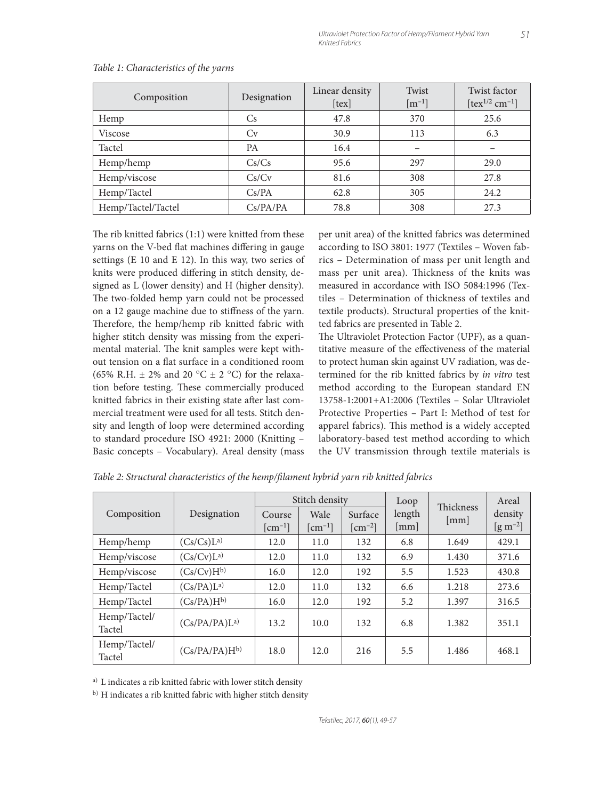| Composition        | Designation | Linear density<br>[tex] | Twist<br>$\lceil m^{-1} \rceil$ | <b>Twist factor</b><br>$[text^{1/2} cm^{-1}]$ |
|--------------------|-------------|-------------------------|---------------------------------|-----------------------------------------------|
| Hemp               | Cs.         | 47.8                    | 370                             | 25.6                                          |
| Viscose            | Cv          | 30.9                    | 113                             | 6.3                                           |
| Tactel             | <b>PA</b>   | 16.4                    |                                 |                                               |
| Hemp/hemp          | Cs/Cs       | 95.6                    | 297                             | 29.0                                          |
| Hemp/viscose       | Cs/Cv       | 81.6                    | 308                             | 27.8                                          |
| Hemp/Tactel        | Cs/PA       | 62.8                    | 305                             | 24.2                                          |
| Hemp/Tactel/Tactel | Cs/PA/PA    | 78.8                    | 308                             | 27.3                                          |

#### *Table 1: Characteristics of the yarns*

The rib knitted fabrics  $(1:1)$  were knitted from these yarns on the V-bed flat machines differing in gauge settings (E 10 and E 12). In this way, two series of knits were produced differing in stitch density, designed as L (lower density) and H (higher density). The two-folded hemp yarn could not be processed on a 12 gauge machine due to stiffness of the yarn. Therefore, the hemp/hemp rib knitted fabric with higher stitch density was missing from the experimental material. The knit samples were kept without tension on a flat surface in a conditioned room (65% R.H.  $\pm$  2% and 20 °C  $\pm$  2 °C) for the relaxation before testing. These commercially produced knitted fabrics in their existing state after last commercial treatment were used for all tests. Stitch density and length of loop were determined according to standard procedure ISO 4921: 2000 (Knitting – Basic concepts – Vocabulary). Areal density (mass per unit area) of the knitted fabrics was determined according to ISO 3801: 1977 (Textiles – Woven fabrics – Determination of mass per unit length and mass per unit area). Thickness of the knits was measured in accordance with ISO 5084:1996 (Textiles – Determination of thickness of textiles and textile products). Structural properties of the knitted fabrics are presented in Table 2.

The Ultraviolet Protection Factor (UPF), as a quantitative measure of the effectiveness of the material to protect human skin against UV radiation, was determined for the rib knitted fabrics by *in vitro* test method according to the European standard EN 13758-1:2001+A1:2006 (Textiles – Solar Ultraviolet Protective Properties – Part I: Method of test for apparel fabrics). This method is a widely accepted laboratory-based test method according to which the UV transmission through textile materials is

|                        | Designation              | Stitch density                               |                                            |                             | Loop                           | Thickness | Areal                        |
|------------------------|--------------------------|----------------------------------------------|--------------------------------------------|-----------------------------|--------------------------------|-----------|------------------------------|
| Composition            |                          | Course<br>$\lceil$ cm <sup>-1</sup> $\rceil$ | Wale<br>$\lceil$ cm <sup>-1</sup> $\rceil$ | Surface<br>$\text{cm}^{-2}$ | length<br>$\lceil$ mm $\rceil$ | [mm]      | density<br>$\rm [g\,m^{-2}]$ |
| Hemp/hemp              | (Cs/Cs)L <sup>a</sup>    | 12.0                                         | 11.0                                       | 132                         | 6.8                            | 1.649     | 429.1                        |
| Hemp/viscose           | (Cs/Cv)L <sup>a</sup>    | 12.0                                         | 11.0                                       | 132                         | 6.9                            | 1.430     | 371.6                        |
| Hemp/viscose           | $(Cs/Cv)H^{b}$           | 16.0                                         | 12.0                                       | 192                         | 5.5                            | 1.523     | 430.8                        |
| Hemp/Tactel            | (Cs/PA)L <sup>a</sup>    | 12.0                                         | 11.0                                       | 132                         | 6.6                            | 1.218     | 273.6                        |
| Hemp/Tactel            | $(Cs/PA)H^{b}$           | 16.0                                         | 12.0                                       | 192                         | 5.2                            | 1.397     | 316.5                        |
| Hemp/Tactel/<br>Tactel | (Cs/PA/PA)L <sup>a</sup> | 13.2                                         | 10.0                                       | 132                         | 6.8                            | 1.382     | 351.1                        |
| Hemp/Tactel/<br>Tactel | $(Cs/PA/PA)H^{b}$        | 18.0                                         | 12.0                                       | 216                         | 5.5                            | 1.486     | 468.1                        |

*Table 2: Structural characteristics of the hemp/fi lament hybrid yarn rib knitted fabrics*

a) L indicates a rib knitted fabric with lower stitch density

b) H indicates a rib knitted fabric with higher stitch density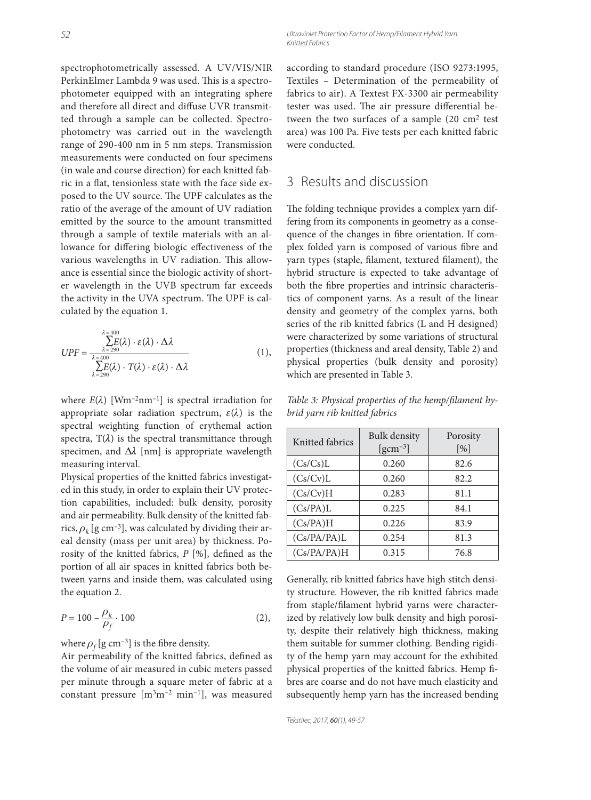spectrophotometrically assessed. A UV/VIS/NIR PerkinElmer Lambda 9 was used. This is a spectrophotometer equipped with an integrating sphere and therefore all direct and diffuse UVR transmitted through a sample can be collected. Spectrophotometry was carried out in the wavelength range of 290-400 nm in 5 nm steps. Transmission measurements were conducted on four specimens (in wale and course direction) for each knitted fabric in a flat, tensionless state with the face side exposed to the UV source. The UPF calculates as the ratio of the average of the amount of UV radiation emitted by the source to the amount transmitted through a sample of textile materials with an allowance for differing biologic effectiveness of the various wavelengths in UV radiation. This allowance is essential since the biologic activity of shorter wavelength in the UVB spectrum far exceeds the activity in the UVA spectrum. The UPF is calculated by the equation 1.

$$
UPF = \frac{\sum_{\substack{\lambda = 290 \\ \lambda = 290}}^{\lambda = 400} \lambda \cdot \varepsilon(\lambda) \cdot \Delta \lambda}{\sum_{\substack{\lambda = 290 \\ \lambda = 290}}^{\lambda = 400} \cdot T(\lambda) \cdot \varepsilon(\lambda) \cdot \Delta \lambda}
$$
(1),

where  $E(\lambda)$  [Wm<sup>-2</sup>nm<sup>-1</sup>] is spectral irradiation for appropriate solar radiation spectrum,  $\varepsilon(\lambda)$  is the spectral weighting function of erythemal action spectra,  $T(\lambda)$  is the spectral transmittance through specimen, and  $\Delta\lambda$  [nm] is appropriate wavelength measuring interval.

Physical properties of the knitted fabrics investigated in this study, in order to explain their UV protection capabilities, included: bulk density, porosity and air permeability. Bulk density of the knitted fabrics,  $\rho_k$  [g cm<sup>-3</sup>], was calculated by dividing their areal density (mass per unit area) by thickness. Porosity of the knitted fabrics,  $P$  [%], defined as the portion of all air spaces in knitted fabrics both between yarns and inside them, was calculated using the equation 2.

$$
P = 100 - \frac{\rho_k}{\rho_f} \cdot 100
$$
 (2),

where  $\rho_f$  [g cm<sup>-3</sup>] is the fibre density.

Air permeability of the knitted fabrics, defined as the volume of air measured in cubic meters passed per minute through a square meter of fabric at a constant pressure  $[m<sup>3</sup>m<sup>-2</sup> min<sup>-1</sup>]$ , was measured according to standard procedure (ISO 9273:1995, Textiles – Determination of the permeability of fabrics to air). A Textest FX-3300 air permeability tester was used. The air pressure differential between the two surfaces of a sample (20 cm2 test area) was 100 Pa. Five tests per each knitted fabric were conducted.

# 3 Results and discussion

The folding technique provides a complex yarn differing from its components in geometry as a consequence of the changes in fibre orientation. If complex folded yarn is composed of various fibre and yarn types (staple, filament, textured filament), the hybrid structure is expected to take advantage of both the fibre properties and intrinsic characteristics of component yarns. As a result of the linear density and geometry of the complex yarns, both series of the rib knitted fabrics (L and H designed) were characterized by some variations of structural properties (thickness and areal density, Table 2) and physical properties (bulk density and porosity) which are presented in Table 3.

Table 3: Physical properties of the hemp/filament hy*brid yarn rib knitted fabrics*

| Knitted fabrics | <b>Bulk</b> density<br>$\left[\text{gcm}^{-3}\right]$ | Porosity<br>[%] |
|-----------------|-------------------------------------------------------|-----------------|
| (Cs/Cs)L        | 0.260                                                 | 82.6            |
| (Cs/Cv)L        | 0.260                                                 | 82.2            |
| (Cs/Cv)H        | 0.283                                                 | 81.1            |
| (Cs/PA)L        | 0.225                                                 | 84.1            |
| (Cs/PA)H        | 0.226                                                 | 83.9            |
| (Cs/PA/PA)L     | 0.254                                                 | 81.3            |
| (Cs/PA/PA)H     | 0.315                                                 | 76.8            |

Generally, rib knitted fabrics have high stitch density structure. However, the rib knitted fabrics made from staple/filament hybrid yarns were characterized by relatively low bulk density and high porosity, despite their relatively high thickness, making them suitable for summer clothing. Bending rigidity of the hemp yarn may account for the exhibited physical properties of the knitted fabrics. Hemp fibres are coarse and do not have much elasticity and subsequently hemp yarn has the increased bending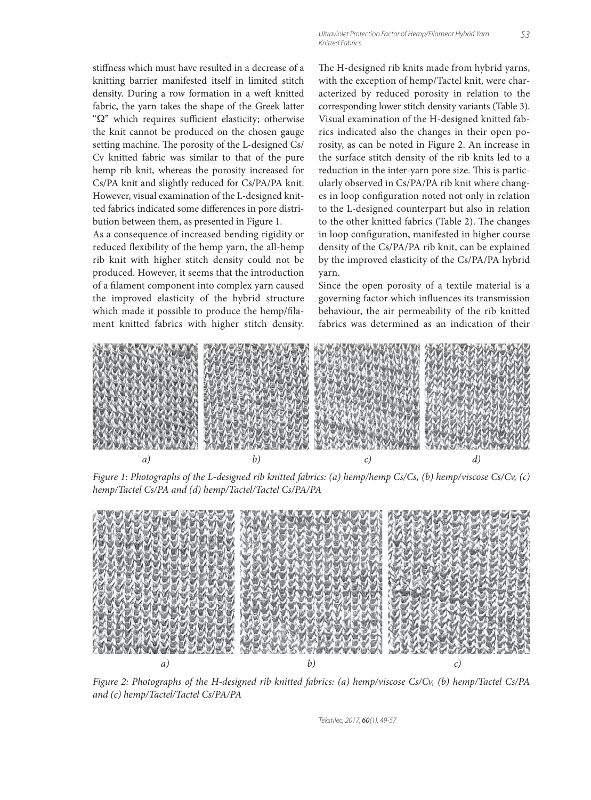stiffness which must have resulted in a decrease of a knitting barrier manifested itself in limited stitch density. During a row formation in a weft knitted fabric, the yarn takes the shape of the Greek latter " $\Omega$ " which requires sufficient elasticity; otherwise the knit cannot be produced on the chosen gauge setting machine. The porosity of the L-designed Cs/ Cv knitted fabric was similar to that of the pure hemp rib knit, whereas the porosity increased for Cs/PA knit and slightly reduced for Cs/PA/PA knit. However, visual examination of the L-designed knitted fabrics indicated some differences in pore distribution between them, as presented in Figure 1.

As a consequence of increased bending rigidity or reduced flexibility of the hemp yarn, the all-hemp rib knit with higher stitch density could not be produced. However, it seems that the introduction of a filament component into complex yarn caused the improved elasticity of the hybrid structure which made it possible to produce the hemp/filament knitted fabrics with higher stitch density. The H-designed rib knits made from hybrid yarns, with the exception of hemp/Tactel knit, were characterized by reduced porosity in relation to the corresponding lower stitch density variants (Table 3). Visual examination of the H-designed knitted fabrics indicated also the changes in their open porosity, as can be noted in Figure 2. An increase in the surface stitch density of the rib knits led to a reduction in the inter-yarn pore size. This is particularly observed in Cs/PA/PA rib knit where changes in loop configuration noted not only in relation to the L-designed counterpart but also in relation to the other knitted fabrics (Table 2). The changes in loop configuration, manifested in higher course density of the Cs/PA/PA rib knit, can be explained by the improved elasticity of the Cs/PA/PA hybrid yarn.

Since the open porosity of a textile material is a governing factor which influences its transmission behaviour, the air permeability of the rib knitted fabrics was determined as an indication of their



*Figure 1: Photographs of the L-designed rib knitted fabrics: (a) hemp/hemp Cs/Cs, (b) hemp/viscose Cs/Cv, (c) hemp/Tactel Cs/PA and (d) hemp/Tactel/Tactel Cs/PA/PA*



*Figure 2: Photographs of the H-designed rib knitted fabrics: (a) hemp/viscose Cs/Cv, (b) hemp/Tactel Cs/PA and (c) hemp/Tactel/Tactel Cs/PA/PA*

Tekstilec, 2017, 60(1), 49-57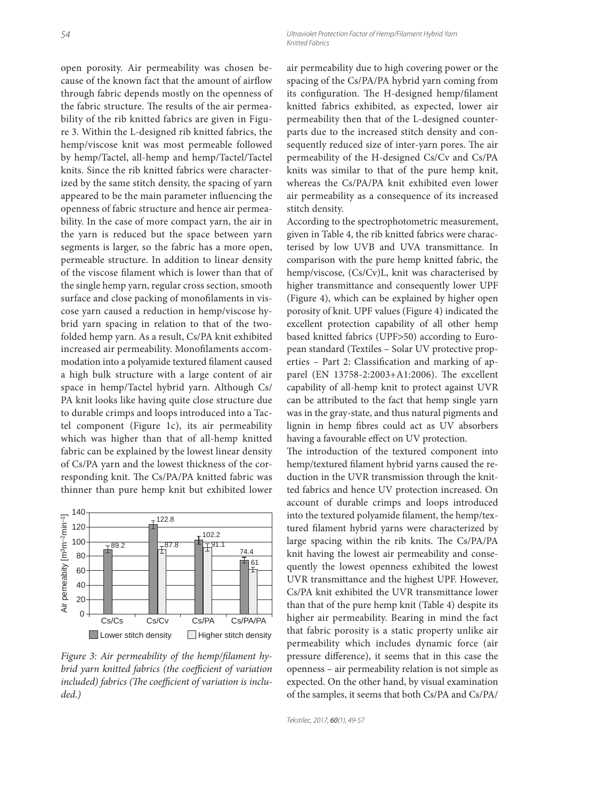54 Ultraviolet Protection Factor of Hemp/Filament Hybrid Yarn Knitted Fabrics

open porosity. Air permeability was chosen because of the known fact that the amount of airflow through fabric depends mostly on the openness of the fabric structure. The results of the air permeability of the rib knitted fabrics are given in Figure 3. Within the L-designed rib knitted fabrics, the hemp/viscose knit was most permeable followed by hemp/Tactel, all-hemp and hemp/Tactel/Tactel knits. Since the rib knitted fabrics were characterized by the same stitch density, the spacing of yarn appeared to be the main parameter influencing the openness of fabric structure and hence air permeability. In the case of more compact yarn, the air in the yarn is reduced but the space between yarn segments is larger, so the fabric has a more open, permeable structure. In addition to linear density of the viscose filament which is lower than that of the single hemp yarn, regular cross section, smooth surface and close packing of monofilaments in viscose yarn caused a reduction in hemp/viscose hybrid yarn spacing in relation to that of the twofolded hemp yarn. As a result, Cs/PA knit exhibited increased air permeability. Monofilaments accommodation into a polyamide textured filament caused a high bulk structure with a large content of air space in hemp/Tactel hybrid yarn. Although Cs/ PA knit looks like having quite close structure due to durable crimps and loops introduced into a Tactel component (Figure 1c), its air permeability which was higher than that of all-hemp knitted fabric can be explained by the lowest linear density of Cs/PA yarn and the lowest thickness of the corresponding knit. The Cs/PA/PA knitted fabric was thinner than pure hemp knit but exhibited lower



Figure 3: Air permeability of the hemp/filament hy*brid yarn knitted fabrics (the coefficient of variation* included) fabrics (The coefficient of variation is inclu*ded.)*

air permeability due to high covering power or the spacing of the Cs/PA/PA hybrid yarn coming from its configuration. The H-designed hemp/filament knitted fabrics exhibited, as expected, lower air permeability then that of the L-designed counterparts due to the increased stitch density and consequently reduced size of inter-yarn pores. The air permeability of the H-designed Cs/Cv and Cs/PA knits was similar to that of the pure hemp knit, whereas the Cs/PA/PA knit exhibited even lower air permeability as a consequence of its increased stitch density.

According to the spectrophotometric measurement, given in Table 4, the rib knitted fabrics were characterised by low UVB and UVA transmittance. In comparison with the pure hemp knitted fabric, the hemp/viscose, (Cs/Cv)L, knit was characterised by higher transmittance and consequently lower UPF (Figure 4), which can be explained by higher open porosity of knit. UPF values (Figure 4) indicated the excellent protection capability of all other hemp based knitted fabrics (UPF>50) according to European standard (Textiles – Solar UV protective properties – Part 2: Classification and marking of apparel (EN 13758-2:2003+A1:2006). The excellent capability of all-hemp knit to protect against UVR can be attributed to the fact that hemp single yarn was in the gray-state, and thus natural pigments and lignin in hemp fibres could act as UV absorbers having a favourable effect on UV protection.

The introduction of the textured component into hemp/textured filament hybrid yarns caused the reduction in the UVR transmission through the knitted fabrics and hence UV protection increased. On account of durable crimps and loops introduced into the textured polyamide filament, the hemp/textured filament hybrid yarns were characterized by large spacing within the rib knits. The Cs/PA/PA knit having the lowest air permeability and consequently the lowest openness exhibited the lowest UVR transmittance and the highest UPF. However, Cs/PA knit exhibited the UVR transmittance lower than that of the pure hemp knit (Table 4) despite its higher air permeability. Bearing in mind the fact that fabric porosity is a static property unlike air permeability which includes dynamic force (air pressure difference), it seems that in this case the openness – air permeability relation is not simple as expected. On the other hand, by visual examination of the samples, it seems that both Cs/PA and Cs/PA/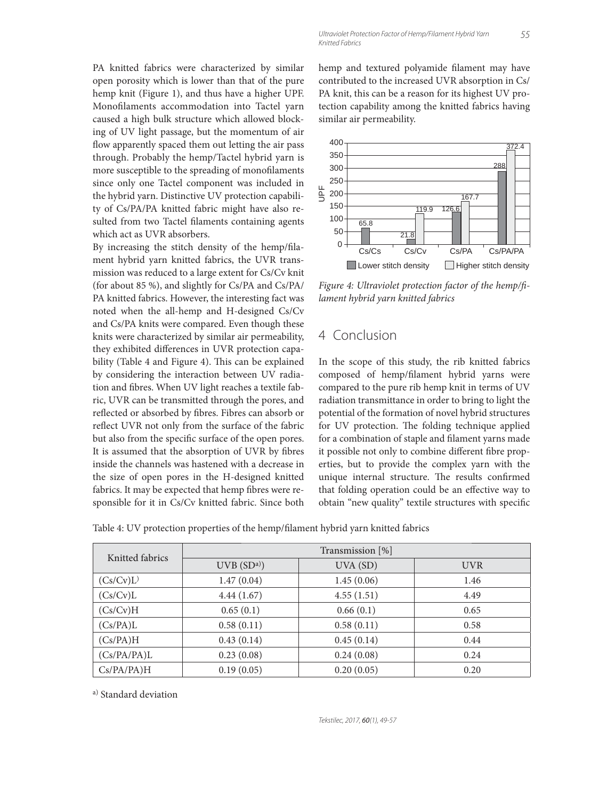PA knitted fabrics were characterized by similar open porosity which is lower than that of the pure hemp knit (Figure 1), and thus have a higher UPF. Monofilaments accommodation into Tactel yarn caused a high bulk structure which allowed blocking of UV light passage, but the momentum of air flow apparently spaced them out letting the air pass through. Probably the hemp/Tactel hybrid yarn is more susceptible to the spreading of monofilaments since only one Tactel component was included in the hybrid yarn. Distinctive UV protection capability of Cs/PA/PA knitted fabric might have also resulted from two Tactel filaments containing agents which act as UVR absorbers.

By increasing the stitch density of the hemp/filament hybrid yarn knitted fabrics, the UVR transmission was reduced to a large extent for Cs/Cv knit (for about 85 %), and slightly for Cs/PA and Cs/PA/ PA knitted fabrics. However, the interesting fact was noted when the all-hemp and H-designed Cs/Cv and Cs/PA knits were compared. Even though these knits were characterized by similar air permeability, they exhibited differences in UVR protection capability (Table 4 and Figure 4). This can be explained by considering the interaction between UV radiation and fibres. When UV light reaches a textile fabric, UVR can be transmitted through the pores, and reflected or absorbed by fibres. Fibres can absorb or reflect UVR not only from the surface of the fabric but also from the specific surface of the open pores. It is assumed that the absorption of UVR by fibres inside the channels was hastened with a decrease in the size of open pores in the H-designed knitted fabrics. It may be expected that hemp fibres were responsible for it in Cs/Cv knitted fabric. Since both hemp and textured polyamide filament may have contributed to the increased UVR absorption in Cs/ PA knit, this can be a reason for its highest UV protection capability among the knitted fabrics having similar air permeability.



*Figure 4: Ultraviolet protection factor of the hemp/fi lament hybrid yarn knitted fabrics*

# 4 Conclusion

In the scope of this study, the rib knitted fabrics composed of hemp/filament hybrid yarns were compared to the pure rib hemp knit in terms of UV radiation transmittance in order to bring to light the potential of the formation of novel hybrid structures for UV protection. The folding technique applied for a combination of staple and filament yarns made it possible not only to combine different fibre properties, but to provide the complex yarn with the unique internal structure. The results confirmed that folding operation could be an effective way to obtain "new quality" textile structures with specific

Table 4: UV protection properties of the hemp/filament hybrid yarn knitted fabrics

| Knitted fabrics | Transmission [%]      |            |            |  |  |
|-----------------|-----------------------|------------|------------|--|--|
|                 | UVB(SD <sup>a</sup> ) | UVA (SD)   | <b>UVR</b> |  |  |
| (Cs/Cv)L        | 1.47(0.04)            | 1.45(0.06) | 1.46       |  |  |
| (Cs/Cv)L        | 4.44(1.67)            | 4.55(1.51) | 4.49       |  |  |
| (Cs/Cv)H        | 0.65(0.1)             | 0.66(0.1)  | 0.65       |  |  |
| (Cs/PA)L        | 0.58(0.11)            | 0.58(0.11) | 0.58       |  |  |
| (Cs/PA)H        | 0.43(0.14)            | 0.45(0.14) | 0.44       |  |  |
| (Cs/PA/PA)L     | 0.23(0.08)            | 0.24(0.08) | 0.24       |  |  |
| Cs/PA/PA)H      | 0.19(0.05)            | 0.20(0.05) | 0.20       |  |  |

a) Standard deviation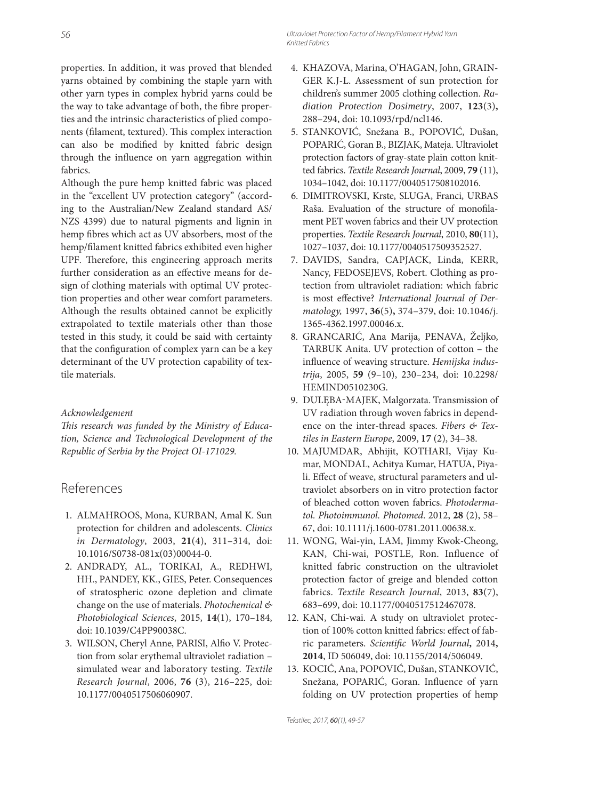properties. In addition, it was proved that blended yarns obtained by combining the staple yarn with other yarn types in complex hybrid yarns could be the way to take advantage of both, the fibre properties and the intrinsic characteristics of plied components (filament, textured). This complex interaction can also be modified by knitted fabric design through the influence on yarn aggregation within fabrics.

Although the pure hemp knitted fabric was placed in the "excellent UV protection category" (according to the Australian/New Zealand standard AS/ NZS 4399) due to natural pigments and lignin in hemp fibres which act as UV absorbers, most of the hemp/filament knitted fabrics exhibited even higher UPF. Therefore, this engineering approach merits further consideration as an effective means for design of clothing materials with optimal UV protection properties and other wear comfort parameters. Although the results obtained cannot be explicitly extrapolated to textile materials other than those tested in this study, it could be said with certainty that the configuration of complex yarn can be a key determinant of the UV protection capability of textile materials.

#### *Acknowledgement*

This research was funded by the Ministry of Educa*tion, Science and Technological Development of the Republic of Serbia by the Project OI-171029.*

### References

- 1. ALMAHROOS, Mona, KURBAN, Amal K. Sun protection for children and adolescents. *Clinics in Dermatology*, 2003, **21**(4), 311–314, doi: 10.1016/S0738-081x(03)00044-0.
- 2. ANDRADY, AL., TORIKAI, A., REDHWI, HH., PANDEY, KK., GIES, Peter. Consequences of stratospheric ozone depletion and climate change on the use of materials. *Photochemical & Photobiological Sciences*, 2015, **14**(1), 170–184, doi: 10.1039/C4PP90038C.
- 3. WILSON, Cheryl Anne, PARISI, Alfio V. Protection from solar erythemal ultraviolet radiation – simulated wear and laboratory testing. *Textile Research Journal*, 2006, **76** (3), 216–225, doi: 10.1177/0040517506060907.
- 4. KHAZOVA, Marina, O'HAGAN, John, GRAIN-GER K.J-L. Assessment of sun protection for children's summer 2005 clothing collection. *Radiation Protection Dosimetry*, 2007, **123**(3)**,**  288–294, doi: 10.1093/rpd/ncl146.
- 5. STANKOVIĆ, Snežana B., POPOVIĆ, Dušan, POPARIĆ, Goran B., BIZJAK, Mateja. Ultraviolet protection factors of gray-state plain cotton knitted fabrics. *Textile Research Journal*, 2009, **79** (11), 1034–1042, doi: 10.1177/0040517508102016.
- 6. DIMITROVSKI, Krste, SLUGA, Franci, URBAS Raša. Evaluation of the structure of monofilament PET woven fabrics and their UV protection properties. *Textile Research Journal*, 2010, **80**(11), 1027–1037, doi: 10.1177/0040517509352527.
- 7. DAVIDS, Sandra, CAPJACK, Linda, KERR, Nancy, FEDOSEJEVS, Robert. Clothing as protection from ultraviolet radiation: which fabric is most effective? *International Journal of Dermatology,* 1997, **36**(5)**,** 374–379, doi: 10.1046/j. 1365-4362.1997.00046.x.
- 8. GRANCARIĆ, Ana Marija, PENAVA, Željko, TARBUK Anita. UV protection of cotton – the influence of weaving structure. Hemijska indus*trija*, 2005, **59** (9–10), 230–234, doi: 10.2298/ HEMIND0510230G.
- 9. DULĘBA-MAJEK, Malgorzata. Transmission of UV radiation through woven fabrics in dependence on the inter-thread spaces. *Fibers & Textiles in Eastern Europe*, 2009, **17** (2), 34–38.
- 10. MAJUMDAR, Abhijit, KOTHARI, Vijay Kumar, MONDAL, Achitya Kumar, HATUA, Piyali. Effect of weave, structural parameters and ultraviolet absorbers on in vitro protection factor of bleached cotton woven fabrics. *Photodermatol. Photoimmunol. Photomed*. 2012, **28** (2), 58– 67, doi: 10.1111/j.1600-0781.2011.00638.x.
- 11. WONG, Wai-yin, LAM, Jimmy Kwok-Cheong, KAN, Chi-wai, POSTLE, Ron. Influence of knitted fabric construction on the ultraviolet protection factor of greige and blended cotton fabrics. *Textile Research Journal*, 2013, **83**(7), 683–699, doi: 10.1177/0040517512467078.
- 12. KAN, Chi-wai. A study on ultraviolet protection of 100% cotton knitted fabrics: effect of fabric parameters. Scientific World Journal, 2014, **2014**, ID 506049, doi: 10.1155/2014/506049.
- 13. KOCIĆ, Ana, POPOVIĆ, Dušan, STANKOVIĆ, Snežana, POPARIĆ, Goran. Influence of yarn folding on UV protection properties of hemp

Tekstilec, 2017, 60(1), 49-57